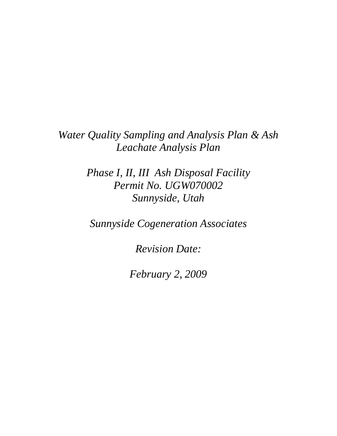*Water Quality Sampling and Analysis Plan & Ash Leachate Analysis Plan*

> *Phase I, II, III Ash Disposal Facility Permit No. UGW070002 Sunnyside, Utah*

*Sunnyside Cogeneration Associates*

*Revision Date:*

*February 2, 2009*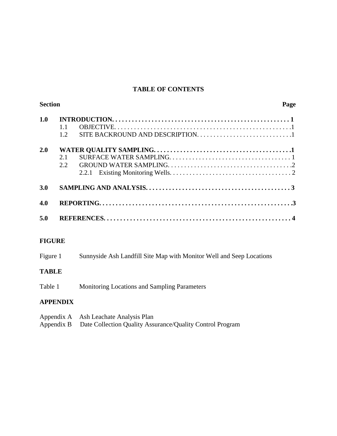# **TABLE OF CONTENTS**

| <b>Section</b> |            |       | Page |
|----------------|------------|-------|------|
| 1.0            | 1.1<br>1.2 |       |      |
| 2.0            | 2.1<br>2.2 | 2.2.1 |      |
| 3.0            |            |       |      |
| 4.0            |            |       |      |
| 5.0            |            |       |      |
|                |            |       |      |

# **FIGURE**

| Figure 1 | Sunnyside Ash Landfill Site Map with Monitor Well and Seep Locations |  |
|----------|----------------------------------------------------------------------|--|
|          |                                                                      |  |

# **TABLE**

Table 1 Monitoring Locations and Sampling Parameters

# **APPENDIX**

| Appendix A Ash Leachate Analysis Plan                                |
|----------------------------------------------------------------------|
| Appendix B Date Collection Quality Assurance/Quality Control Program |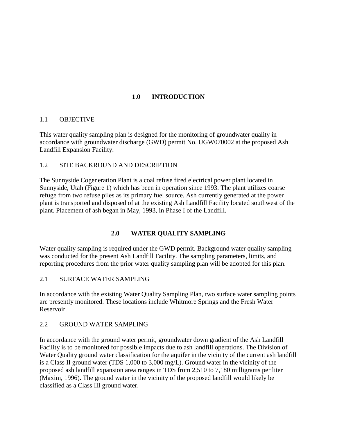# **1.0 INTRODUCTION**

#### 1.1 OBJECTIVE

This water quality sampling plan is designed for the monitoring of groundwater quality in accordance with groundwater discharge (GWD) permit No. UGW070002 at the proposed Ash Landfill Expansion Facility.

#### 1.2 SITE BACKROUND AND DESCRIPTION

The Sunnyside Cogeneration Plant is a coal refuse fired electrical power plant located in Sunnyside, Utah (Figure 1) which has been in operation since 1993. The plant utilizes coarse refuge from two refuse piles as its primary fuel source. Ash currently generated at the power plant is transported and disposed of at the existing Ash Landfill Facility located southwest of the plant. Placement of ash began in May, 1993, in Phase I of the Landfill.

#### **2.0 WATER QUALITY SAMPLING**

Water quality sampling is required under the GWD permit. Background water quality sampling was conducted for the present Ash Landfill Facility. The sampling parameters, limits, and reporting procedures from the prior water quality sampling plan will be adopted for this plan.

#### 2.1 SURFACE WATER SAMPLING

In accordance with the existing Water Quality Sampling Plan, two surface water sampling points are presently monitored. These locations include Whitmore Springs and the Fresh Water Reservoir.

#### 2.2 GROUND WATER SAMPLING

In accordance with the ground water permit, groundwater down gradient of the Ash Landfill Facility is to be monitored for possible impacts due to ash landfill operations. The Division of Water Quality ground water classification for the aquifer in the vicinity of the current ash landfill is a Class II ground water (TDS 1,000 to 3,000 mg/L). Ground water in the vicinity of the proposed ash landfill expansion area ranges in TDS from 2,510 to 7,180 milligrams per liter (Maxim, 1996). The ground water in the vicinity of the proposed landfill would likely be classified as a Class III ground water.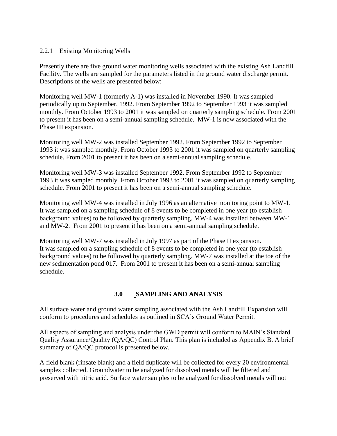#### 2.2.1 Existing Monitoring Wells

Presently there are five ground water monitoring wells associated with the existing Ash Landfill Facility. The wells are sampled for the parameters listed in the ground water discharge permit. Descriptions of the wells are presented below:

Monitoring well MW-1 (formerly A-1) was installed in November 1990. It was sampled periodically up to September, 1992. From September 1992 to September 1993 it was sampled monthly. From October 1993 to 2001 it was sampled on quarterly sampling schedule. From 2001 to present it has been on a semi-annual sampling schedule. MW-1 is now associated with the Phase III expansion.

Monitoring well MW-2 was installed September 1992. From September 1992 to September 1993 it was sampled monthly. From October 1993 to 2001 it was sampled on quarterly sampling schedule. From 2001 to present it has been on a semi-annual sampling schedule.

Monitoring well MW-3 was installed September 1992. From September 1992 to September 1993 it was sampled monthly. From October 1993 to 2001 it was sampled on quarterly sampling schedule. From 2001 to present it has been on a semi-annual sampling schedule.

Monitoring well MW-4 was installed in July 1996 as an alternative monitoring point to MW-1. It was sampled on a sampling schedule of 8 events to be completed in one year (to establish background values) to be followed by quarterly sampling. MW-4 was installed between MW-1 and MW-2. From 2001 to present it has been on a semi-annual sampling schedule.

Monitoring well MW-7 was installed in July 1997 as part of the Phase II expansion. It was sampled on a sampling schedule of 8 events to be completed in one year (to establish background values) to be followed by quarterly sampling. MW-7 was installed at the toe of the new sedimentation pond 017. From 2001 to present it has been on a semi-annual sampling schedule.

#### **3.0 SAMPLING AND ANALYSIS**

All surface water and ground water sampling associated with the Ash Landfill Expansion will conform to procedures and schedules as outlined in SCA's Ground Water Permit.

All aspects of sampling and analysis under the GWD permit will conform to MAIN's Standard Quality Assurance/Quality (QA/QC) Control Plan. This plan is included as Appendix B. A brief summary of QA/QC protocol is presented below.

A field blank (rinsate blank) and a field duplicate will be collected for every 20 environmental samples collected. Groundwater to be analyzed for dissolved metals will be filtered and preserved with nitric acid. Surface water samples to be analyzed for dissolved metals will not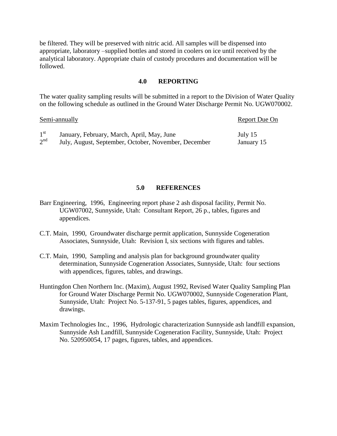be filtered. They will be preserved with nitric acid. All samples will be dispensed into appropriate, laboratory –supplied bottles and stored in coolers on ice until received by the analytical laboratory. Appropriate chain of custody procedures and documentation will be followed.

#### **4.0 REPORTING**

The water quality sampling results will be submitted in a report to the Division of Water Quality on the following schedule as outlined in the Ground Water Discharge Permit No. UGW070002.

|                 | Semi-annually                                        | Report Due On |  |
|-----------------|------------------------------------------------------|---------------|--|
| $1^{\rm st}$    | January, February, March, April, May, June           | July 15       |  |
| 2 <sup>nd</sup> | July, August, September, October, November, December | January 15    |  |

#### **5.0 REFERENCES**

Barr Engineering, 1996, Engineering report phase 2 ash disposal facility, Permit No. UGW07002, Sunnyside, Utah: Consultant Report, 26 p., tables, figures and appendices.

- C.T. Main, 1990, Groundwater discharge permit application, Sunnyside Cogeneration Associates, Sunnyside, Utah: Revision I, six sections with figures and tables.
- C.T. Main, 1990, Sampling and analysis plan for background groundwater quality determination, Sunnyside Cogeneration Associates, Sunnyside, Utah: four sections with appendices, figures, tables, and drawings.
- Huntingdon Chen Northern Inc. (Maxim), August 1992, Revised Water Quality Sampling Plan for Ground Water Discharge Permit No. UGW070002, Sunnyside Cogeneration Plant, Sunnyside, Utah: Project No. 5-137-91, 5 pages tables, figures, appendices, and drawings.
- Maxim Technologies Inc., 1996, Hydrologic characterization Sunnyside ash landfill expansion, Sunnyside Ash Landfill, Sunnyside Cogeneration Facility, Sunnyside, Utah: Project No. 520950054, 17 pages, figures, tables, and appendices.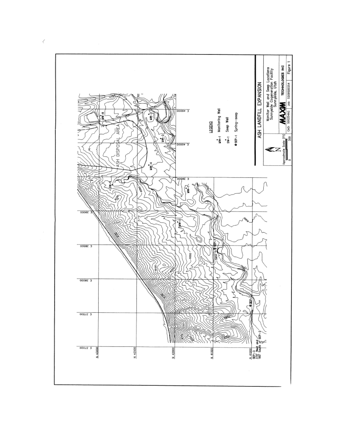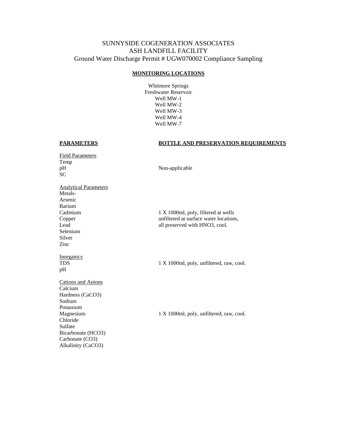#### SUNNYSIDE COGENERATION ASSOCIATES ASH LANDFILL FACILITY Ground Water Discharge Permit # UGW070002 Compliance Sampling

#### **MONITORING LOCATIONS**

Whitmore Springs Freshwater Reservoir Well MW-1 Well MW-2 Well MW-3 Well MW-4 Well MW-7

#### **PARAMETERS BOTTLE AND PRESERVATION REQUIREMENTS**

Field Parameters Temp pH Non-applicable SC Analytical Parameters Metals-Arsenic Barium Cadmium 1 X 1000ml, poly, filtered at wells Copper unfiltered at surface water locations, Lead all preserved with HNO3, cool. Selenium Silver Zinc **Inorganics** TDS 1 X 1000ml, poly, unfiltered, raw, cool. pH Cations and Anions Calcium Hardness (CaCO3) Sodium Potassium Magnesium 1 X 1000ml, poly, unfiltered, raw, cool. Chloride Sulfate Bicarbonate (HCO3) Carbonate (CO3) Alkalinity (CaCO3)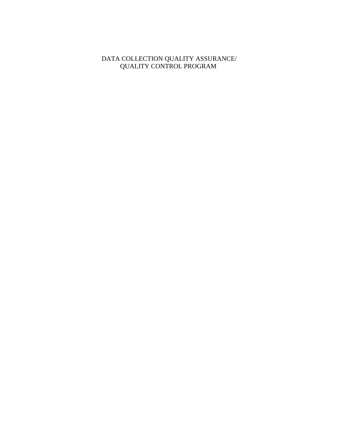#### DATA COLLECTION QUALITY ASSURANCE/ QUALITY CONTROL PROGRAM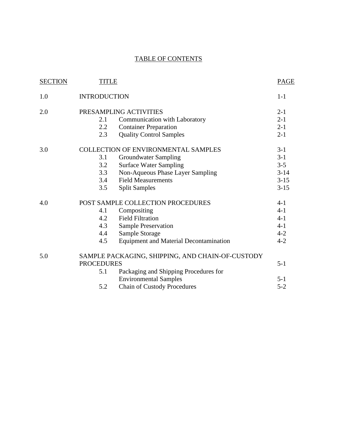# TABLE OF CONTENTS

| <b>SECTION</b> | <b>TITLE</b>        |                                                  | <b>PAGE</b> |
|----------------|---------------------|--------------------------------------------------|-------------|
| 1.0            | <b>INTRODUCTION</b> |                                                  | $1-1$       |
| 2.0            |                     | PRESAMPLING ACTIVITIES                           | $2 - 1$     |
|                | 2.1                 | Communication with Laboratory                    | $2 - 1$     |
|                | 2.2                 | <b>Container Preparation</b>                     | $2 - 1$     |
|                | 2.3                 | <b>Quality Control Samples</b>                   | $2 - 1$     |
| 3.0            |                     | <b>COLLECTION OF ENVIRONMENTAL SAMPLES</b>       | $3-1$       |
|                | 3.1                 | <b>Groundwater Sampling</b>                      | $3 - 1$     |
|                | 3.2                 | <b>Surface Water Sampling</b>                    | $3 - 5$     |
|                | 3.3                 | Non-Aqueous Phase Layer Sampling                 | $3 - 14$    |
|                | 3.4                 | <b>Field Measurements</b>                        | $3-15$      |
|                | 3.5                 | <b>Split Samples</b>                             | $3 - 15$    |
| 4.0            |                     | POST SAMPLE COLLECTION PROCEDURES                | $4-1$       |
|                | 4.1                 | Compositing                                      | $4 - 1$     |
|                | 4.2                 | <b>Field Filtration</b>                          | $4 - 1$     |
|                | 4.3                 | Sample Preservation                              | $4 - 1$     |
|                | 4.4                 | Sample Storage                                   | $4 - 2$     |
|                | 4.5                 | <b>Equipment and Material Decontamination</b>    | $4 - 2$     |
| 5.0            |                     | SAMPLE PACKAGING, SHIPPING, AND CHAIN-OF-CUSTODY |             |
|                | <b>PROCEDURES</b>   |                                                  | $5 - 1$     |
|                | 5.1                 | Packaging and Shipping Procedures for            |             |
|                |                     | <b>Environmental Samples</b>                     | $5 - 1$     |
|                | 5.2                 | <b>Chain of Custody Procedures</b>               | $5 - 2$     |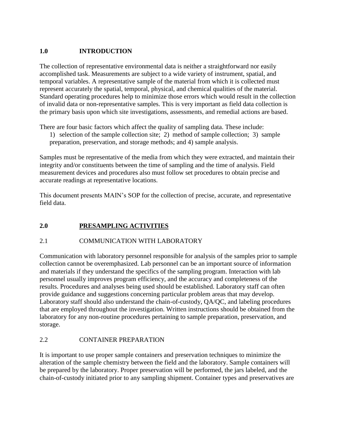# **1.0 INTRODUCTION**

The collection of representative environmental data is neither a straightforward nor easily accomplished task. Measurements are subject to a wide variety of instrument, spatial, and temporal variables. A representative sample of the material from which it is collected must represent accurately the spatial, temporal, physical, and chemical qualities of the material. Standard operating procedures help to minimize those errors which would result in the collection of invalid data or non-representative samples. This is very important as field data collection is the primary basis upon which site investigations, assessments, and remedial actions are based.

There are four basic factors which affect the quality of sampling data. These include:

1) selection of the sample collection site; 2) method of sample collection; 3) sample preparation, preservation, and storage methods; and 4) sample analysis.

Samples must be representative of the media from which they were extracted, and maintain their integrity and/or constituents between the time of sampling and the time of analysis. Field measurement devices and procedures also must follow set procedures to obtain precise and accurate readings at representative locations.

This document presents MAIN's SOP for the collection of precise, accurate, and representative field data.

# **2.0 PRESAMPLING ACTIVITIES**

# 2.1 COMMUNICATION WITH LABORATORY

Communication with laboratory personnel responsible for analysis of the samples prior to sample collection cannot be overemphasized. Lab personnel can be an important source of information and materials if they understand the specifics of the sampling program. Interaction with lab personnel usually improves program efficiency, and the accuracy and completeness of the results. Procedures and analyses being used should be established. Laboratory staff can often provide guidance and suggestions concerning particular problem areas that may develop. Laboratory staff should also understand the chain-of-custody, QA/QC, and labeling procedures that are employed throughout the investigation. Written instructions should be obtained from the laboratory for any non-routine procedures pertaining to sample preparation, preservation, and storage.

#### 2.2 CONTAINER PREPARATION

It is important to use proper sample containers and preservation techniques to minimize the alteration of the sample chemistry between the field and the laboratory. Sample containers will be prepared by the laboratory. Proper preservation will be performed, the jars labeled, and the chain-of-custody initiated prior to any sampling shipment. Container types and preservatives are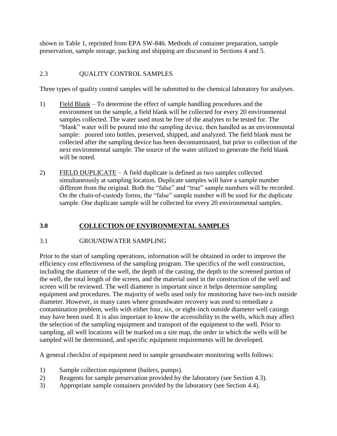shown in Table 1, reprinted from EPA SW-846. Methods of container preparation, sample preservation, sample storage, packing and shipping are discussed in Sections 4 and 5.

# 2.3 QUALITY CONTROL SAMPLES

Three types of quality control samples will be submitted to the chemical laboratory for analyses.

- 1) Field Blank To determine the effect of sample handling procedures and the environment on the sample, a field blank will be collected for every 20 environmental samples collected. The water used must be free of the analytes to be tested for. The "blank" water will be poured into the sampling device, then handled as an environmental sample: poured into bottles, preserved, shipped, and analyzed. The field blank must be collected after the sampling device has been decontaminated, but prior to collection of the next environmental sample. The source of the water utilized to generate the field blank will be noted.
- 2) FIELD DUPLICATE A field duplicate is defined as two samples collected simultaneously at sampling location. Duplicate samples will have a sample number different from the original. Both the "false" and "true" sample numbers will be recorded. On the chain-of-custody forms, the "false" sample number will be used for the duplicate sample. One duplicate sample will be collected for every 20 environmental samples.

# **3.0 COLLECTION OF ENVIRONMENTAL SAMPLES**

# 3.1 GROUNDWATER SAMPLING

Prior to the start of sampling operations, information will be obtained in order to improve the efficiency cost effectiveness of the sampling program. The specifics of the well construction, including the diameter of the well, the depth of the casting, the depth to the screened portion of the well, the total length of the screen, and the material used in the construction of the well and screen will be reviewed. The well diameter is important since it helps determine sampling equipment and procedures. The majority of wells used only for monitoring have two-inch outside diameter. However, in many cases where groundwater recovery was used to remediate a contamination problem, wells with either four, six, or eight-inch outside diameter well casings may have been used. It is also important to know the accessibility to the wells, which may affect the selection of the sampling equipment and transport of the equipment to the well. Prior to sampling, all well locations will be marked on a site map, the order in which the wells will be sampled will be determined, and specific equipment requirements will be developed.

A general checklist of equipment need to sample groundwater monitoring wells follows:

- 1) Sample collection equipment (bailers, pumps).
- 2) Reagents for sample preservation provided by the laboratory (see Section 4.3).
- 3) Appropriate sample containers provided by the laboratory (see Section 4.4).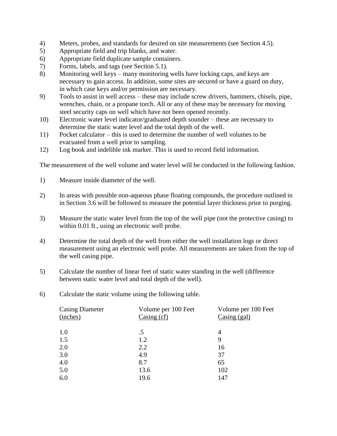- 4) Meters, probes, and standards for desired on site measurements (see Section 4.5).
- 5) Appropriate field and trip blanks, and water.
- 6) Appropriate field duplicate sample containers.
- 7) Forms, labels, and tags (see Section 5.1).
- 8) Monitoring well keys many monitoring wells have locking caps, and keys are necessary to gain access. In addition, some sites are secured or have a guard on duty, in which case keys and/or permission are necessary.
- 9) Tools to assist in well access these may include screw drivers, hammers, chisels, pipe, wrenches, chain, or a propane torch. All or any of these may be necessary for moving steel security caps on well which have not been opened recently.
- 10) Electronic water level indicator/graduated depth sounder these are necessary to determine the static water level and the total depth of the well.
- 11) Pocket calculator this is used to determine the number of well volumes to be evacuated from a well prior to sampling.
- 12) Log book and indelible ink marker. This is used to record field information.

The measurement of the well volume and water level will be conducted in the following fashion.

- 1) Measure inside diameter of the well.
- 2) In areas with possible non-aqueous phase floating compounds, the procedure outlined in in Section 3.6 will be followed to measure the potential layer thickness prior to purging.
- 3) Measure the static water level from the top of the well pipe (not the protective casing) to within 0.01 ft., using an electronic well probe.
- 4) Determine the total depth of the well from either the well installation logs or direct measurement using an electronic well probe. All measurements are taken from the top of the well casing pipe.
- 5) Calculate the number of linear feet of static water standing in the well (difference between static water level and total depth of the well).
- 6) Calculate the static volume using the following table.

| <b>Casing Diameter</b><br>(inches) | Volume per 100 Feet<br>Casing $(cf)$ | Volume per 100 Feet<br>Casing (gal) |
|------------------------------------|--------------------------------------|-------------------------------------|
| 1.0                                | .5                                   | 4                                   |
| 1.5                                | 1.2                                  | 9                                   |
| 2.0                                | 2.2                                  | 16                                  |
| 3.0                                | 4.9                                  | 37                                  |
| 4.0                                | 8.7                                  | 65                                  |
| 5.0                                | 13.6                                 | 102                                 |
| 6.0                                | 19.6                                 | 147                                 |
|                                    |                                      |                                     |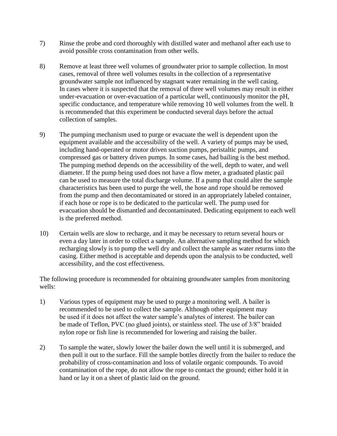- 7) Rinse the probe and cord thoroughly with distilled water and methanol after each use to avoid possible cross contamination from other wells.
- 8) Remove at least three well volumes of groundwater prior to sample collection. In most cases, removal of three well volumes results in the collection of a representative groundwater sample not influenced by stagnant water remaining in the well casing. In cases where it is suspected that the removal of three well volumes may result in either under-evacuation or over-evacuation of a particular well, continuously monitor the pH, specific conductance, and temperature while removing 10 well volumes from the well. It is recommended that this experiment be conducted several days before the actual collection of samples.
- 9) The pumping mechanism used to purge or evacuate the well is dependent upon the equipment available and the accessibility of the well. A variety of pumps may be used, including hand-operated or motor driven suction pumps, peristaltic pumps, and compressed gas or battery driven pumps. In some cases, had bailing is the best method. The pumping method depends on the accessibility of the well, depth to water, and well diameter. If the pump being used does not have a flow meter, a graduated plastic pail can be used to measure the total discharge volume. If a pump that could alter the sample characteristics has been used to purge the well, the hose and rope should be removed from the pump and then decontaminated or stored in an appropriately labeled container, if each hose or rope is to be dedicated to the particular well. The pump used for evacuation should be dismantled and decontaminated. Dedicating equipment to each well is the preferred method.
- 10) Certain wells are slow to recharge, and it may be necessary to return several hours or even a day later in order to collect a sample. An alternative sampling method for which recharging slowly is to pump the well dry and collect the sample as water returns into the casing. Either method is acceptable and depends upon the analysis to be conducted, well accessibility, and the cost effectiveness.

The following procedure is recommended for obtaining groundwater samples from monitoring wells:

- 1) Various types of equipment may be used to purge a monitoring well. A bailer is recommended to be used to collect the sample. Although other equipment may be used if it does not affect the water sample's analytes of interest. The bailer can be made of Teflon, PVC (no glued joints), or stainless steel. The use of 3/8" braided nylon rope or fish line is recommended for lowering and raising the bailer.
- 2) To sample the water, slowly lower the bailer down the well until it is submerged, and then pull it out to the surface. Fill the sample bottles directly from the bailer to reduce the probability of cross-contamination and loss of volatile organic compounds. To avoid contamination of the rope, do not allow the rope to contact the ground; either hold it in hand or lay it on a sheet of plastic laid on the ground.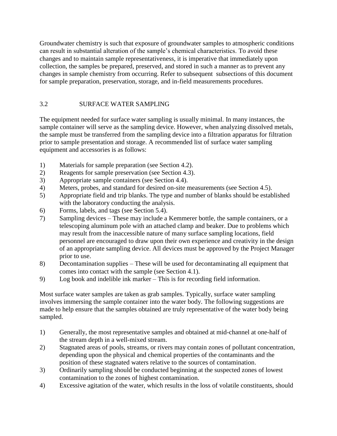Groundwater chemistry is such that exposure of groundwater samples to atmospheric conditions can result in substantial alteration of the sample's chemical characteristics. To avoid these changes and to maintain sample representativeness, it is imperative that immediately upon collection, the samples be prepared, preserved, and stored in such a manner as to prevent any changes in sample chemistry from occurring. Refer to subsequent subsections of this document for sample preparation, preservation, storage, and in-field measurements procedures.

# 3.2 SURFACE WATER SAMPLING

The equipment needed for surface water sampling is usually minimal. In many instances, the sample container will serve as the sampling device. However, when analyzing dissolved metals, the sample must be transferred from the sampling device into a filtration apparatus for filtration prior to sample presentation and storage. A recommended list of surface water sampling equipment and accessories is as follows:

- 1) Materials for sample preparation (see Section 4.2).
- 2) Reagents for sample preservation (see Section 4.3).
- 3) Appropriate sample containers (see Section 4.4).
- 4) Meters, probes, and standard for desired on-site measurements (see Section 4.5).
- 5) Appropriate field and trip blanks. The type and number of blanks should be established with the laboratory conducting the analysis.
- 6) Forms, labels, and tags (see Section 5.4).
- 7) Sampling devices These may include a Kemmerer bottle, the sample containers, or a telescoping aluminum pole with an attached clamp and beaker. Due to problems which may result from the inaccessible nature of many surface sampling locations, field personnel are encouraged to draw upon their own experience and creativity in the design of an appropriate sampling device. All devices must be approved by the Project Manager prior to use.
- 8) Decontamination supplies These will be used for decontaminating all equipment that comes into contact with the sample (see Section 4.1).
- 9) Log book and indelible ink marker This is for recording field information.

Most surface water samples are taken as grab samples. Typically, surface water sampling involves immersing the sample container into the water body. The following suggestions are made to help ensure that the samples obtained are truly representative of the water body being sampled.

- 1) Generally, the most representative samples and obtained at mid-channel at one-half of the stream depth in a well-mixed stream.
- 2) Stagnated areas of pools, streams, or rivers may contain zones of pollutant concentration, depending upon the physical and chemical properties of the contaminants and the position of these stagnated waters relative to the sources of contamination.
- 3) Ordinarily sampling should be conducted beginning at the suspected zones of lowest contamination to the zones of highest contamination.
- 4) Excessive agitation of the water, which results in the loss of volatile constituents, should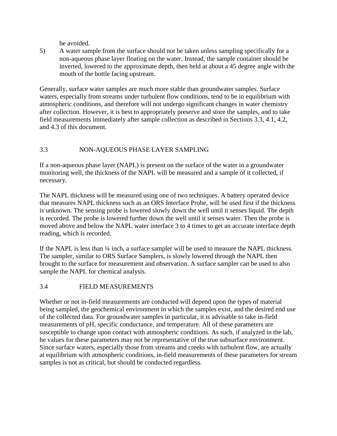be avoided.

5) A water sample from the surface should not be taken unless sampling specifically for a non-aqueous phase layer floating on the water. Instead, the sample container should be inverted, lowered to the approximate depth, then held at about a 45 degree angle with the mouth of the bottle facing upstream.

Generally, surface water samples are much more stable than groundwater samples. Surface waters, especially from streams under turbulent flow conditions, tend to be in equilibrium with atmospheric conditions, and therefore will not undergo significant changes in water chemistry after collection. However, it is best to appropriately preserve and store the samples, and to take field measurements immediately after sample collection as described in Sections 3.3, 4.1, 4.2, and 4.3 of this document.

# 3.3 NON-AQUEOUS PHASE LAYER SAMPLING

If a non-aqueous phase layer (NAPL) is present on the surface of the water in a groundwater monitoring well, the thickness of the NAPL will be measured and a sample of it collected, if necessary.

The NAPL thickness will be measured using one of two techniques. A battery operated device that measures NAPL thickness such as an ORS Interface Probe, will be used first if the thickness is unknown. The sensing probe is lowered slowly down the well until it senses liquid. The depth is recorded. The probe is lowered further down the well until it senses water. Then the probe is moved above and below the NAPL water interface 3 to 4 times to get an accurate interface depth reading, which is recorded.

If the NAPL is less than  $\frac{1}{4}$  inch, a surface sampler will be used to measure the NAPL thickness. The sampler, similar to ORS Surface Samplers, is slowly lowered through the NAPL then brought to the surface for measurement and observation. A surface sampler can be used to also sample the NAPL for chemical analysis.

# 3.4 FIELD MEASUREMENTS

Whether or not in-field measurements are conducted will depend upon the types of material being sampled, the geochemical environment in which the samples exist, and the desired end use of the collected data. For groundwater samples in particular, it is advisable to take in-field measurements of pH, specific conductance, and temperature. All of these parameters are susceptible to change upon contact with atmospheric conditions. As such, if analyzed in the lab, he values for these parameters may not be representative of the true subsurface environment. Since surface waters, especially those from streams and creeks with turbulent flow, are actually at equilibrium with atmospheric conditions, in-field measurements of these parameters for stream samples is not as critical, but should be conducted regardless.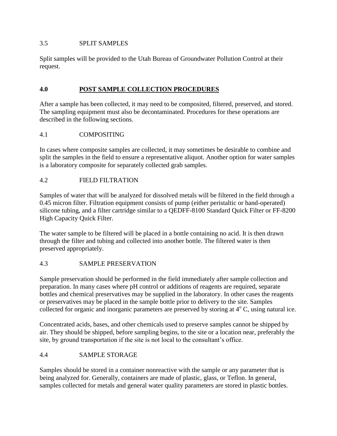#### 3.5 SPLIT SAMPLES

Split samples will be provided to the Utah Bureau of Groundwater Pollution Control at their request.

## **4.0 POST SAMPLE COLLECTION PROCEDURES**

After a sample has been collected, it may need to be composited, filtered, preserved, and stored. The sampling equipment must also be decontaminated. Procedures for these operations are described in the following sections.

## 4.1 COMPOSITING

In cases where composite samples are collected, it may sometimes be desirable to combine and split the samples in the field to ensure a representative aliquot. Another option for water samples is a laboratory composite for separately collected grab samples.

## 4.2 FIELD FILTRATION

Samples of water that will be analyzed for dissolved metals will be filtered in the field through a 0.45 micron filter. Filtration equipment consists of pump (either peristaltic or hand-operated) silicone tubing, and a filter cartridge similar to a QEDFF-8100 Standard Quick Filter or FF-8200 High Capacity Quick Filter.

The water sample to be filtered will be placed in a bottle containing no acid. It is then drawn through the filter and tubing and collected into another bottle. The filtered water is then preserved appropriately.

#### 4.3 SAMPLE PRESERVATION

Sample preservation should be performed in the field immediately after sample collection and preparation. In many cases where pH control or additions of reagents are required, separate bottles and chemical preservatives may be supplied in the laboratory. In other cases the reagents or preservatives may be placed in the sample bottle prior to delivery to the site. Samples collected for organic and inorganic parameters are preserved by storing at  $4^{\circ}$  C, using natural ice.

Concentrated acids, bases, and other chemicals used to preserve samples cannot be shipped by air. They should be shipped, before sampling begins, to the site or a location near, preferably the site, by ground transportation if the site is not local to the consultant's office.

# 4.4 SAMPLE STORAGE

Samples should be stored in a container nonreactive with the sample or any parameter that is being analyzed for. Generally, containers are made of plastic, glass, or Teflon. In general, samples collected for metals and general water quality parameters are stored in plastic bottles.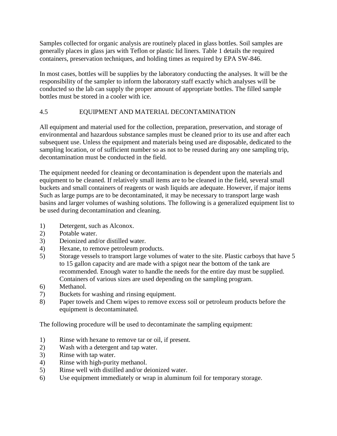Samples collected for organic analysis are routinely placed in glass bottles. Soil samples are generally places in glass jars with Teflon or plastic lid liners. Table 1 details the required containers, preservation techniques, and holding times as required by EPA SW-846.

In most cases, bottles will be supplies by the laboratory conducting the analyses. It will be the responsibility of the sampler to inform the laboratory staff exactly which analyses will be conducted so the lab can supply the proper amount of appropriate bottles. The filled sample bottles must be stored in a cooler with ice.

# 4.5 EQUIPMENT AND MATERIAL DECONTAMINATION

All equipment and material used for the collection, preparation, preservation, and storage of environmental and hazardous substance samples must be cleaned prior to its use and after each subsequent use. Unless the equipment and materials being used are disposable, dedicated to the sampling location, or of sufficient number so as not to be reused during any one sampling trip, decontamination must be conducted in the field.

The equipment needed for cleaning or decontamination is dependent upon the materials and equipment to be cleaned. If relatively small items are to be cleaned in the field, several small buckets and small containers of reagents or wash liquids are adequate. However, if major items Such as large pumps are to be decontaminated, it may be necessary to transport large wash basins and larger volumes of washing solutions. The following is a generalized equipment list to be used during decontamination and cleaning.

- 1) Detergent, such as Alconox.
- 2) Potable water.
- 3) Deionized and/or distilled water.
- 4) Hexane, to remove petroleum products.
- 5) Storage vessels to transport large volumes of water to the site. Plastic carboys that have 5 to 15 gallon capacity and are made with a spigot near the bottom of the tank are recommended. Enough water to handle the needs for the entire day must be supplied. Containers of various sizes are used depending on the sampling program.
- 6) Methanol.
- 7) Buckets for washing and rinsing equipment.
- 8) Paper towels and Chem wipes to remove excess soil or petroleum products before the equipment is decontaminated.

The following procedure will be used to decontaminate the sampling equipment:

- 1) Rinse with hexane to remove tar or oil, if present.
- 2) Wash with a detergent and tap water.
- 3) Rinse with tap water.
- 4) Rinse with high-purity methanol.
- 5) Rinse well with distilled and/or deionized water.
- 6) Use equipment immediately or wrap in aluminum foil for temporary storage.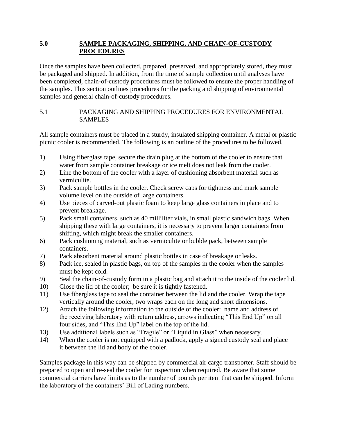#### **5.0 SAMPLE PACKAGING, SHIPPING, AND CHAIN-OF-CUSTODY PROCEDURES**

Once the samples have been collected, prepared, preserved, and appropriately stored, they must be packaged and shipped. In addition, from the time of sample collection until analyses have been completed, chain-of-custody procedures must be followed to ensure the proper handling of the samples. This section outlines procedures for the packing and shipping of environmental samples and general chain-of-custody procedures.

#### 5.1 PACKAGING AND SHIPPING PROCEDURES FOR ENVIRONMENTAL SAMPLES

All sample containers must be placed in a sturdy, insulated shipping container. A metal or plastic picnic cooler is recommended. The following is an outline of the procedures to be followed.

- 1) Using fiberglass tape, secure the drain plug at the bottom of the cooler to ensure that water from sample container breakage or ice melt does not leak from the cooler.
- 2) Line the bottom of the cooler with a layer of cushioning absorbent material such as vermiculite.
- 3) Pack sample bottles in the cooler. Check screw caps for tightness and mark sample volume level on the outside of large containers.
- 4) Use pieces of carved-out plastic foam to keep large glass containers in place and to prevent breakage.
- 5) Pack small containers, such as 40 milliliter vials, in small plastic sandwich bags. When shipping these with large containers, it is necessary to prevent larger containers from shifting, which might break the smaller containers.
- 6) Pack cushioning material, such as vermiculite or bubble pack, between sample containers.
- 7) Pack absorbent material around plastic bottles in case of breakage or leaks.
- 8) Pack ice, sealed in plastic bags, on top of the samples in the cooler when the samples must be kept cold.
- 9) Seal the chain-of-custody form in a plastic bag and attach it to the inside of the cooler lid.
- 10) Close the lid of the cooler; be sure it is tightly fastened.
- 11) Use fiberglass tape to seal the container between the lid and the cooler. Wrap the tape vertically around the cooler, two wraps each on the long and short dimensions.
- 12) Attach the following information to the outside of the cooler: name and address of the receiving laboratory with return address, arrows indicating "This End Up" on all four sides, and "This End Up" label on the top of the lid.
- 13) Use additional labels such as "Fragile" or "Liquid in Glass" when necessary.
- 14) When the cooler is not equipped with a padlock, apply a signed custody seal and place it between the lid and body of the cooler.

Samples package in this way can be shipped by commercial air cargo transporter. Staff should be prepared to open and re-seal the cooler for inspection when required. Be aware that some commercial carriers have limits as to the number of pounds per item that can be shipped. Inform the laboratory of the containers' Bill of Lading numbers.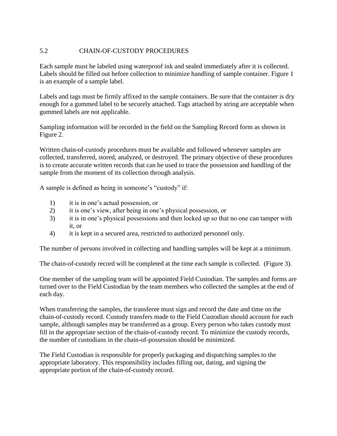#### 5.2 CHAIN-OF-CUSTODY PROCEDURES

Each sample must be labeled using waterproof ink and sealed immediately after it is collected. Labels should be filled out before collection to minimize handling of sample container. Figure 1 is an example of a sample label.

Labels and tags must be firmly affixed to the sample containers. Be sure that the container is dry enough for a gummed label to be securely attached. Tags attached by string are acceptable when gummed labels are not applicable.

Sampling information will be recorded in the field on the Sampling Record form as shown in Figure 2.

Written chain-of-custody procedures must be available and followed whenever samples are collected, transferred, stored, analyzed, or destroyed. The primary objective of these procedures is to create accurate written records that can be used to trace the possession and handling of the sample from the moment of its collection through analysis.

A sample is defined as being in someone's "custody" if:

- 1) it is in one's actual possession, or
- 2) it is one's view, after being in one's physical possession, or
- 3) it is in one's physical possessions and then locked up so that no one can tamper with it, or
- 4) it is kept in a secured area, restricted to authorized personnel only.

The number of persons involved in collecting and handling samples will be kept at a minimum.

The chain-of-custody record will be completed at the time each sample is collected. (Figure 3).

One member of the sampling team will be appointed Field Custodian. The samples and forms are turned over to the Field Custodian by the team members who collected the samples at the end of each day.

When transferring the samples, the transferee must sign and record the date and time on the chain-of-custody record. Custody transfers made to the Field Custodian should account for each sample, although samples may be transferred as a group. Every person who takes custody must fill in the appropriate section of the chain-of-custody record. To minimize the custody records, the number of custodians in the chain-of-possession should be minimized.

The Field Custodian is responsible for properly packaging and dispatching samples to the appropriate laboratory. This responsibility includes filling out, dating, and signing the appropriate portion of the chain-of-custody record.